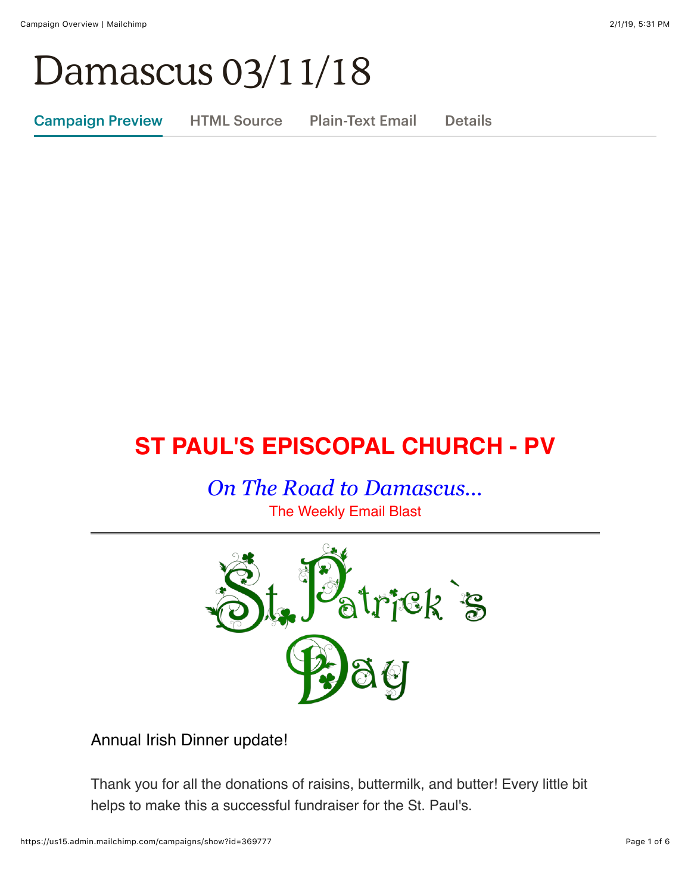# Damascus 03/11/18

Campaign Preview HTML Source Plain-Text Email Details

# **ST PAUL'S EPISCOPAL CHURCH - PV**

*On The Road to Damascus...* The Weekly Email Blast



Annual Irish Dinner update!

Thank you for all the donations of raisins, buttermilk, and butter! Every little bit helps to make this a successful fundraiser for the St. Paul's.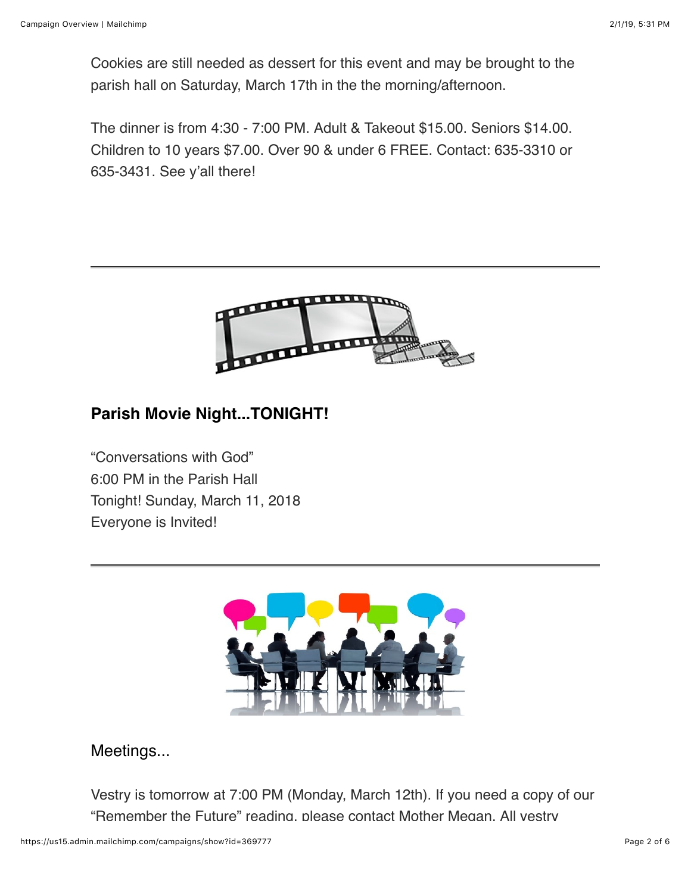Cookies are still needed as dessert for this event and may be brought to the parish hall on Saturday, March 17th in the the morning/afternoon.

The dinner is from 4:30 - 7:00 PM. Adult & Takeout \$15.00. Seniors \$14.00. Children to 10 years \$7.00. Over 90 & under 6 FREE. Contact: 635-3310 or 635-3431. See y'all there!



## **Parish Movie Night...TONIGHT!**

"Conversations with God" 6:00 PM in the Parish Hall Tonight! Sunday, March 11, 2018 Everyone is Invited!



### Meetings...

Vestry is tomorrow at 7:00 PM (Monday, March 12th). If you need a copy of our "Remember the Future" reading, please contact Mother Megan. All vestry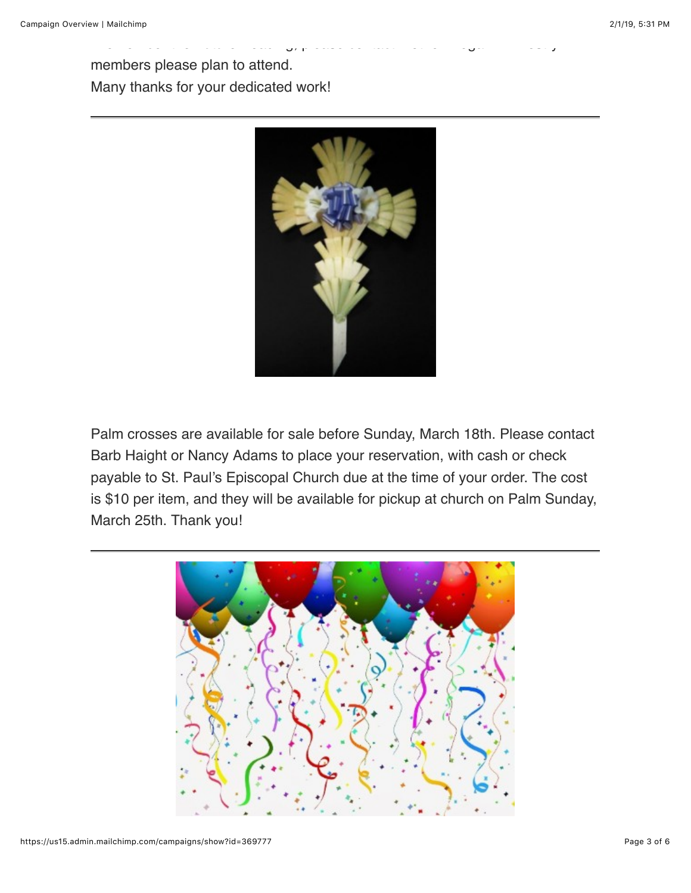members please plan to attend. Many thanks for your dedicated work!



"Remember the Future" reading, please contact Mother Megan. All vestry

Palm crosses are available for sale before Sunday, March 18th. Please contact Barb Haight or Nancy Adams to place your reservation, with cash or check payable to St. Paul's Episcopal Church due at the time of your order. The cost is \$10 per item, and they will be available for pickup at church on Palm Sunday, March 25th. Thank you!

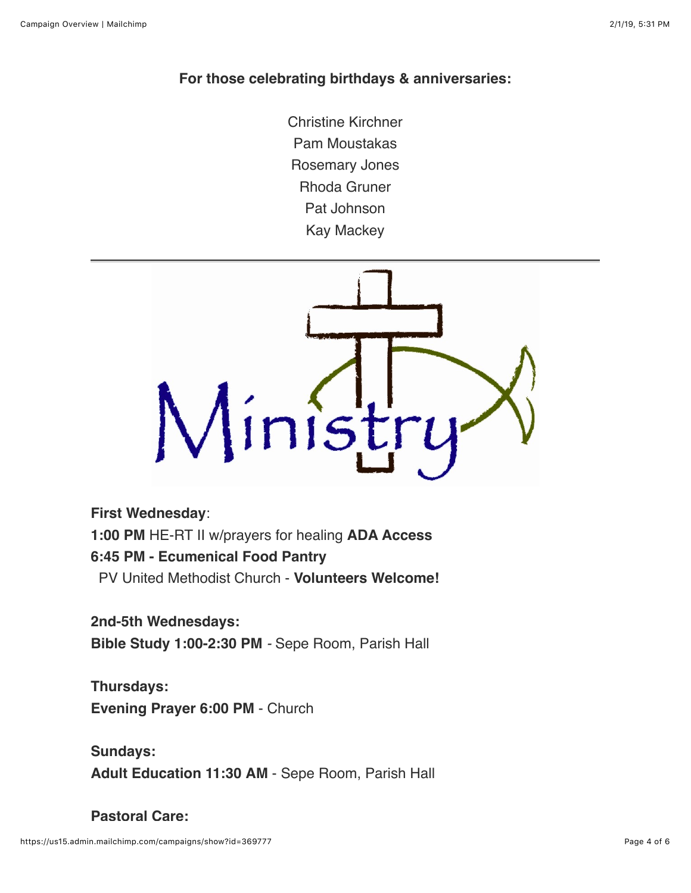#### **For those celebrating birthdays & anniversaries:**

Christine Kirchner Pam Moustakas Rosemary Jones Rhoda Gruner Pat Johnson Kay Mackey



#### **First Wednesday**:

**1:00 PM** HE-RT II w/prayers for healing **ADA Access**

#### **6:45 PM - Ecumenical Food Pantry**

PV United Methodist Church - **Volunteers Welcome!**

#### **2nd-5th Wednesdays:**

**Bible Study 1:00-2:30 PM** *-* Sepe Room, Parish Hall

**Thursdays: Evening Prayer 6:00 PM** - Church

**Sundays: Adult Education 11:30 AM** - Sepe Room, Parish Hall

#### **Pastoral Care:**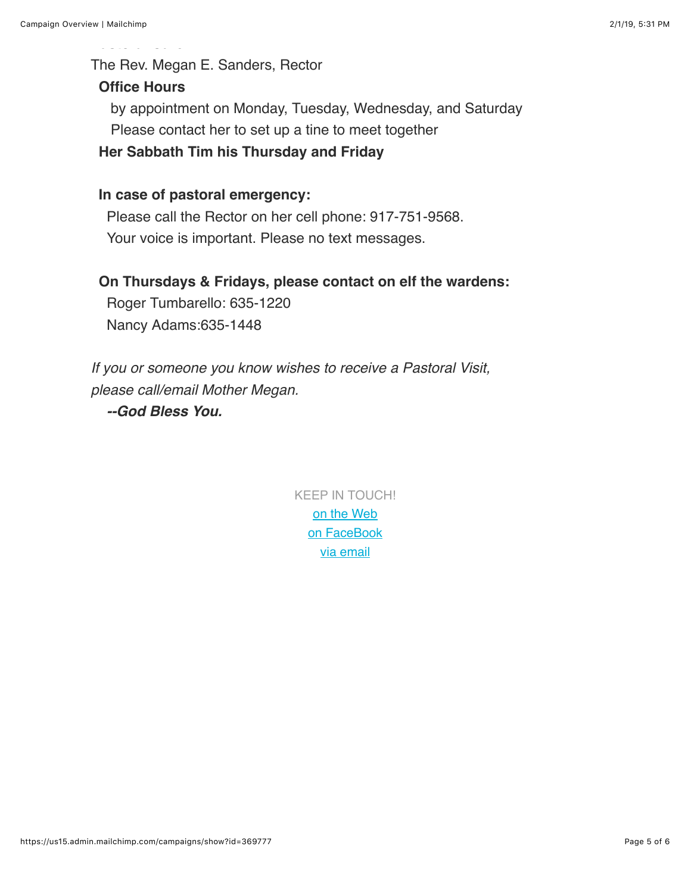The Rev. Megan E. Sanders, Rector

#### **Office Hours**

**Pastoral Care:**

 by appointment on Monday, Tuesday, Wednesday, and Saturday Please contact her to set up a tine to meet together **Her Sabbath Tim his Thursday and Friday** 

#### **In case of pastoral emergency:**

 Please call the Rector on her cell phone: 917-751-9568. Your voice is important. Please no text messages.

#### **On Thursdays & Fridays, please contact on elf the wardens:**

Roger Tumbarello: 635-1220 Nancy Adams:635-1448

*If you or someone you know wishes to receive a Pastoral Visit, please call/email Mother Megan.*

 *--God Bless You.*

KEEP IN TOUCH! [o](http://stpaulspv.org/)[n the Web](http://www.stpaulspv.org/) [on FaceBook](https://www.facebook.com/stpaulspleasantvalley/) [via email](mailto:stpaulspv@gmail)